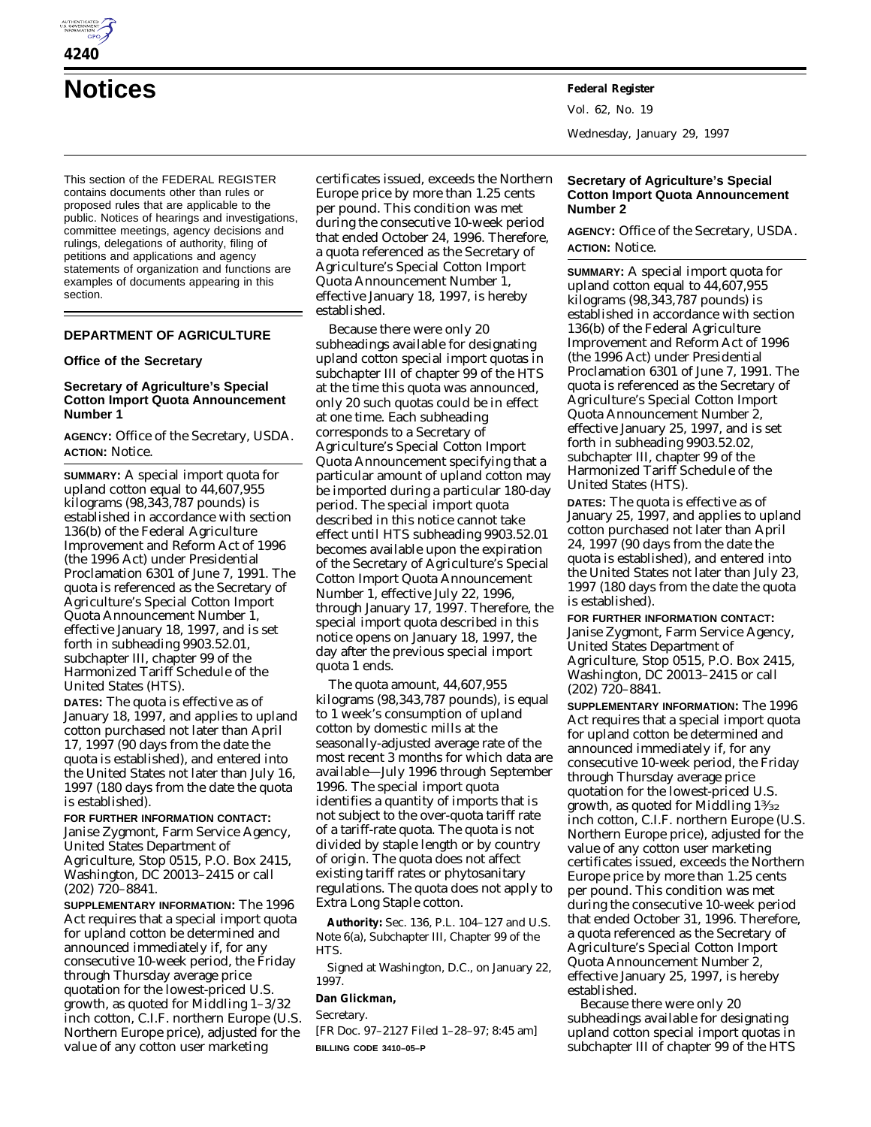

**Notices Federal Register**

This section of the FEDERAL REGISTER contains documents other than rules or proposed rules that are applicable to the public. Notices of hearings and investigations, committee meetings, agency decisions and rulings, delegations of authority, filing of petitions and applications and agency statements of organization and functions are examples of documents appearing in this section.

# **DEPARTMENT OF AGRICULTURE**

### **Office of the Secretary**

## **Secretary of Agriculture's Special Cotton Import Quota Announcement Number 1**

**AGENCY:** Office of the Secretary, USDA. **ACTION:** Notice.

**SUMMARY:** A special import quota for upland cotton equal to 44,607,955 kilograms (98,343,787 pounds) is established in accordance with section 136(b) of the Federal Agriculture Improvement and Reform Act of 1996 (the 1996 Act) under Presidential Proclamation 6301 of June 7, 1991. The quota is referenced as the Secretary of Agriculture's Special Cotton Import Quota Announcement Number 1, effective January 18, 1997, and is set forth in subheading 9903.52.01, subchapter III, chapter 99 of the Harmonized Tariff Schedule of the United States (HTS).

**DATES:** The quota is effective as of January 18, 1997, and applies to upland cotton purchased not later than April 17, 1997 (90 days from the date the quota is established), and entered into the United States not later than July 16, 1997 (180 days from the date the quota is established).

#### **FOR FURTHER INFORMATION CONTACT:**

Janise Zygmont, Farm Service Agency, United States Department of Agriculture, Stop 0515, P.O. Box 2415, Washington, DC 20013–2415 or call (202) 720–8841.

**SUPPLEMENTARY INFORMATION:** The 1996 Act requires that a special import quota for upland cotton be determined and announced immediately if, for any consecutive 10-week period, the Friday through Thursday average price quotation for the lowest-priced U.S. growth, as quoted for Middling 1–3/32 inch cotton, C.I.F. northern Europe (U.S. Northern Europe price), adjusted for the value of any cotton user marketing

certificates issued, exceeds the Northern Europe price by more than 1.25 cents per pound. This condition was met during the consecutive 10-week period that ended October 24, 1996. Therefore, a quota referenced as the Secretary of Agriculture's Special Cotton Import Quota Announcement Number 1, effective January 18, 1997, is hereby established.

Because there were only 20 subheadings available for designating upland cotton special import quotas in subchapter III of chapter 99 of the HTS at the time this quota was announced, only 20 such quotas could be in effect at one time. Each subheading corresponds to a Secretary of Agriculture's Special Cotton Import Quota Announcement specifying that a particular amount of upland cotton may be imported during a particular 180-day period. The special import quota described in this notice cannot take effect until HTS subheading 9903.52.01 becomes available upon the expiration of the Secretary of Agriculture's Special Cotton Import Quota Announcement Number 1, effective July 22, 1996, through January 17, 1997. Therefore, the special import quota described in this notice opens on January 18, 1997, the day after the previous special import quota 1 ends.

The quota amount, 44,607,955 kilograms (98,343,787 pounds), is equal to 1 week's consumption of upland cotton by domestic mills at the seasonally-adjusted average rate of the most recent 3 months for which data are available—July 1996 through September 1996. The special import quota identifies a quantity of imports that is not subject to the over-quota tariff rate of a tariff-rate quota. The quota is not divided by staple length or by country of origin. The quota does not affect existing tariff rates or phytosanitary regulations. The quota does not apply to Extra Long Staple cotton.

**Authority:** Sec. 136, P.L. 104–127 and U.S. Note 6(a), Subchapter III, Chapter 99 of the HTS.

Signed at Washington, D.C., on January 22, 1997.

### **Dan Glickman,**

*Secretary.*

[FR Doc. 97–2127 Filed 1–28–97; 8:45 am] **BILLING CODE 3410–05–P**

Vol. 62, No. 19 Wednesday, January 29, 1997

# **Secretary of Agriculture's Special Cotton Import Quota Announcement Number 2**

**AGENCY:** Office of the Secretary, USDA. **ACTION:** Notice.

**SUMMARY:** A special import quota for upland cotton equal to 44,607,955 kilograms (98,343,787 pounds) is established in accordance with section 136(b) of the Federal Agriculture Improvement and Reform Act of 1996 (the 1996 Act) under Presidential Proclamation 6301 of June 7, 1991. The quota is referenced as the Secretary of Agriculture's Special Cotton Import Quota Announcement Number 2, effective January 25, 1997, and is set forth in subheading 9903.52.02, subchapter III, chapter 99 of the Harmonized Tariff Schedule of the United States (HTS).

**DATES:** The quota is effective as of January 25, 1997, and applies to upland cotton purchased not later than April 24, 1997 (90 days from the date the quota is established), and entered into the United States not later than July 23, 1997 (180 days from the date the quota is established).

**FOR FURTHER INFORMATION CONTACT:** Janise Zygmont, Farm Service Agency, United States Department of Agriculture, Stop 0515, P.O. Box 2415, Washington, DC 20013–2415 or call (202) 720–8841.

**SUPPLEMENTARY INFORMATION:** The 1996 Act requires that a special import quota for upland cotton be determined and announced immediately if, for any consecutive 10-week period, the Friday through Thursday average price quotation for the lowest-priced U.S. growth, as quoted for Middling 13⁄32 inch cotton, C.I.F. northern Europe (U.S. Northern Europe price), adjusted for the value of any cotton user marketing certificates issued, exceeds the Northern Europe price by more than 1.25 cents per pound. This condition was met during the consecutive 10-week period that ended October 31, 1996. Therefore, a quota referenced as the Secretary of Agriculture's Special Cotton Import Quota Announcement Number 2, effective January 25, 1997, is hereby established.

Because there were only 20 subheadings available for designating upland cotton special import quotas in subchapter III of chapter 99 of the HTS